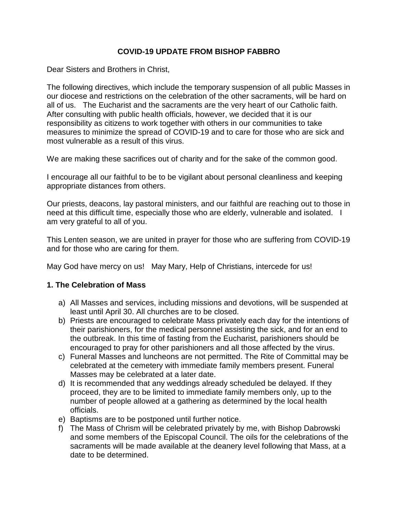### **COVID-19 UPDATE FROM BISHOP FABBRO**

Dear Sisters and Brothers in Christ,

The following directives, which include the temporary suspension of all public Masses in our diocese and restrictions on the celebration of the other sacraments, will be hard on all of us. The Eucharist and the sacraments are the very heart of our Catholic faith. After consulting with public health officials, however, we decided that it is our responsibility as citizens to work together with others in our communities to take measures to minimize the spread of COVID-19 and to care for those who are sick and most vulnerable as a result of this virus.

We are making these sacrifices out of charity and for the sake of the common good.

I encourage all our faithful to be to be vigilant about personal cleanliness and keeping appropriate distances from others.

Our priests, deacons, lay pastoral ministers, and our faithful are reaching out to those in need at this difficult time, especially those who are elderly, vulnerable and isolated. I am very grateful to all of you.

This Lenten season, we are united in prayer for those who are suffering from COVID-19 and for those who are caring for them.

May God have mercy on us! May Mary, Help of Christians, intercede for us!

## **1. The Celebration of Mass**

- a) All Masses and services, including missions and devotions, will be suspended at least until April 30. All churches are to be closed.
- b) Priests are encouraged to celebrate Mass privately each day for the intentions of their parishioners, for the medical personnel assisting the sick, and for an end to the outbreak. In this time of fasting from the Eucharist, parishioners should be encouraged to pray for other parishioners and all those affected by the virus.
- c) Funeral Masses and luncheons are not permitted. The Rite of Committal may be celebrated at the cemetery with immediate family members present. Funeral Masses may be celebrated at a later date.
- d) It is recommended that any weddings already scheduled be delayed. If they proceed, they are to be limited to immediate family members only, up to the number of people allowed at a gathering as determined by the local health officials.
- e) Baptisms are to be postponed until further notice.
- f) The Mass of Chrism will be celebrated privately by me, with Bishop Dabrowski and some members of the Episcopal Council. The oils for the celebrations of the sacraments will be made available at the deanery level following that Mass, at a date to be determined.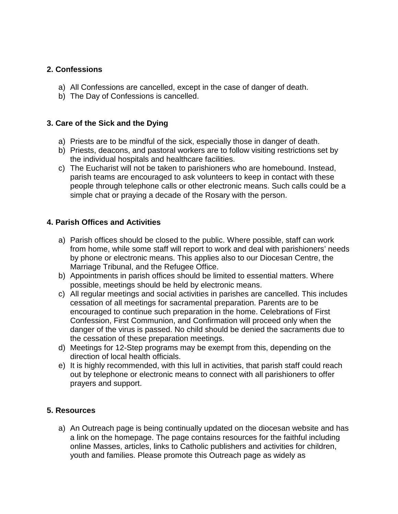# **2. Confessions**

- a) All Confessions are cancelled, except in the case of danger of death.
- b) The Day of Confessions is cancelled.

# **3. Care of the Sick and the Dying**

- a) Priests are to be mindful of the sick, especially those in danger of death.
- b) Priests, deacons, and pastoral workers are to follow visiting restrictions set by the individual hospitals and healthcare facilities.
- c) The Eucharist will not be taken to parishioners who are homebound. Instead, parish teams are encouraged to ask volunteers to keep in contact with these people through telephone calls or other electronic means. Such calls could be a simple chat or praying a decade of the Rosary with the person.

## **4. Parish Offices and Activities**

- a) Parish offices should be closed to the public. Where possible, staff can work from home, while some staff will report to work and deal with parishioners' needs by phone or electronic means. This applies also to our Diocesan Centre, the Marriage Tribunal, and the Refugee Office.
- b) Appointments in parish offices should be limited to essential matters. Where possible, meetings should be held by electronic means.
- c) All regular meetings and social activities in parishes are cancelled. This includes cessation of all meetings for sacramental preparation. Parents are to be encouraged to continue such preparation in the home. Celebrations of First Confession, First Communion, and Confirmation will proceed only when the danger of the virus is passed. No child should be denied the sacraments due to the cessation of these preparation meetings.
- d) Meetings for 12-Step programs may be exempt from this, depending on the direction of local health officials.
- e) It is highly recommended, with this lull in activities, that parish staff could reach out by telephone or electronic means to connect with all parishioners to offer prayers and support.

## **5. Resources**

a) An Outreach page is being continually updated on the diocesan website and has a link on the homepage. The page contains resources for the faithful including online Masses, articles, links to Catholic publishers and activities for children, youth and families. Please promote this Outreach page as widely as